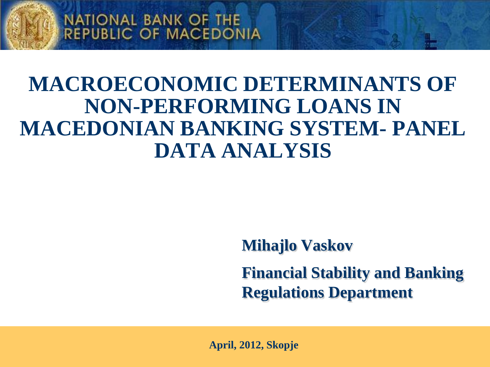

### **MACROECONOMIC DETERMINANTS OF NON-PERFORMING LOANS IN MACEDONIAN BANKING SYSTEM- PANEL DATA ANALYSIS**

**Mihajlo Vaskov** 

**Financial Stability and Banking Regulations Department** 

**April, 2012, Skopje**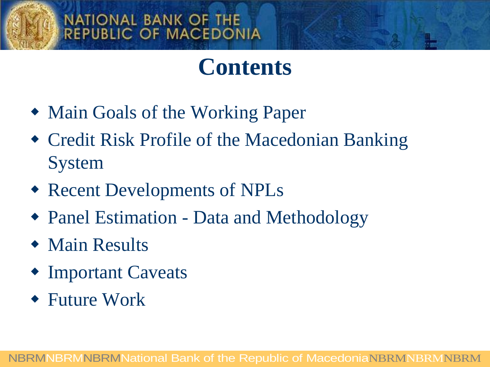# **Contents**

- Main Goals of the Working Paper
- Credit Risk Profile of the Macedonian Banking System
- Recent Developments of NPLs
- Panel Estimation Data and Methodology
- Main Results
- Important Caveats
- Future Work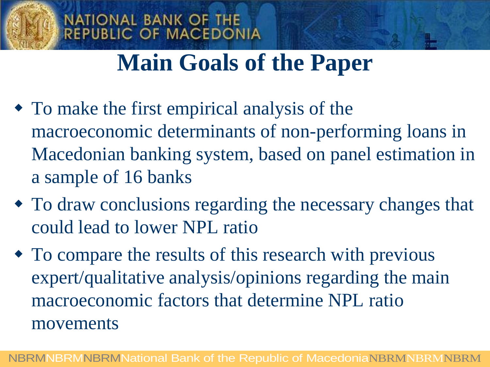# **Main Goals of the Paper**

**NATIONAL BANK OF THE** 

**REPUBLIC OF MACEDONIA** 

- To make the first empirical analysis of the macroeconomic determinants of non-performing loans in Macedonian banking system, based on panel estimation in a sample of 16 banks
- To draw conclusions regarding the necessary changes that could lead to lower NPL ratio
- To compare the results of this research with previous expert/qualitative analysis/opinions regarding the main macroeconomic factors that determine NPL ratio movements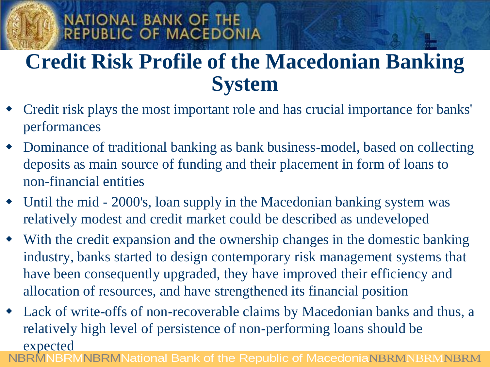### **Credit Risk Profile of the Macedonian Banking System**

NATIONAL BANK OF THE

**REPUBLIC OF MACEDONIA** 

- Credit risk plays the most important role and has crucial importance for banks' performances
- Dominance of traditional banking as bank business-model, based on collecting deposits as main source of funding and their placement in form of loans to non-financial entities
- Until the mid 2000's, loan supply in the Macedonian banking system was relatively modest and credit market could be described as undeveloped
- With the credit expansion and the ownership changes in the domestic banking industry, banks started to design contemporary risk management systems that have been consequently upgraded, they have improved their efficiency and allocation of resources, and have strengthened its financial position
- NBRMNBRMNBRMNational Bank of the Republic of MacedoniaNBRMNBRMNBRM Lack of write-offs of non-recoverable claims by Macedonian banks and thus, a relatively high level of persistence of non-performing loans should be expected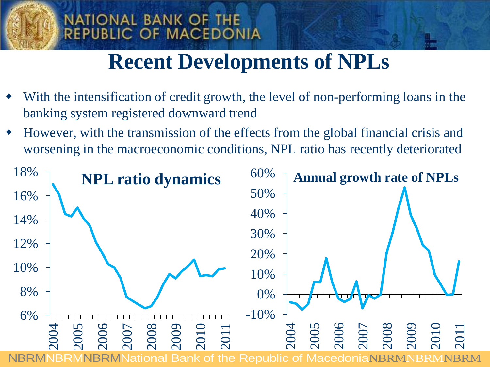### **Recent Developments of NPLs**

 With the intensification of credit growth, the level of non-performing loans in the banking system registered downward trend

**NATIONAL BANK OF THE** 

REPUBLIC OF MACEDONIA

 However, with the transmission of the effects from the global financial crisis and worsening in the macroeconomic conditions, NPL ratio has recently deteriorated

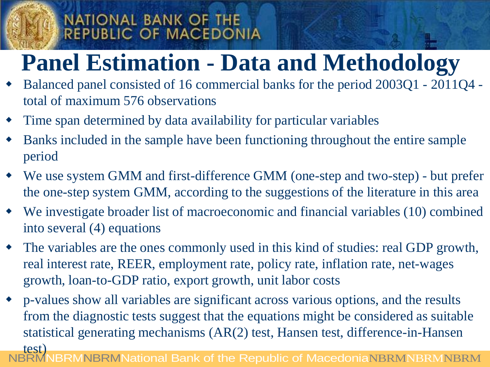# **Panel Estimation - Data and Methodology**

- Balanced panel consisted of 16 commercial banks for the period 2003Q1 2011Q4 total of maximum 576 observations
- Time span determined by data availability for particular variables
- Banks included in the sample have been functioning throughout the entire sample period
- We use system GMM and first-difference GMM (one-step and two-step) but prefer the one-step system GMM, according to the suggestions of the literature in this area
- We investigate broader list of macroeconomic and financial variables (10) combined into several (4) equations
- The variables are the ones commonly used in this kind of studies: real GDP growth, real interest rate, REER, employment rate, policy rate, inflation rate, net-wages growth, loan-to-GDP ratio, export growth, unit labor costs
- p-values show all variables are significant across various options, and the results from the diagnostic tests suggest that the equations might be considered as suitable statistical generating mechanisms (AR(2) test, Hansen test, difference-in-Hansen test)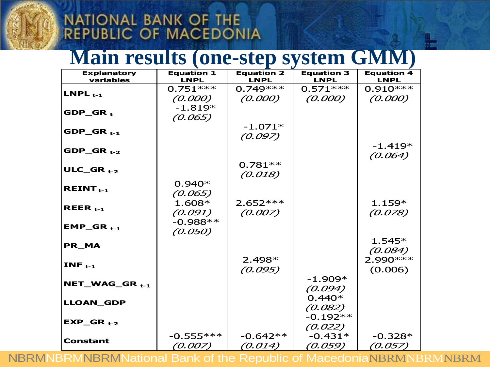### **Main results (one-step system GMM)**

| <b>Explanatory</b><br>variables | <b>Equation 1</b><br><b>LNPL</b> | <b>Equation 2</b><br><b>LNPL</b> | <b>Equation 3</b><br><b>LNPL</b> | <b>Equation 4</b><br><b>LNPL</b> |
|---------------------------------|----------------------------------|----------------------------------|----------------------------------|----------------------------------|
| LNPL $t-1$                      | $0.751***$                       | $0.749***$                       | $0.571***$                       | $0.910***$                       |
|                                 | (0.000)                          | (0.000)                          | (0.000)                          | (0.000)                          |
| $GDP_GR_t$                      | $-1.819*$                        |                                  |                                  |                                  |
|                                 | (0.065)                          |                                  |                                  |                                  |
| $GDP_GR_{t-1}$                  |                                  | $-1.071*$                        |                                  |                                  |
|                                 |                                  | (0.097)                          |                                  |                                  |
| $GDP_GR_{t-2}$                  |                                  |                                  |                                  | $-1.419*$                        |
|                                 |                                  |                                  |                                  | (0.064)                          |
| ULC_GR $_{t-2}$                 |                                  | $0.781**$                        |                                  |                                  |
|                                 |                                  | (0.018)                          |                                  |                                  |
| REINT $_{t-1}$                  | $0.940*$                         |                                  |                                  |                                  |
|                                 | (0.065)                          |                                  |                                  |                                  |
| REER $_{t-1}$                   | 1.608*                           | $2.652***$                       |                                  | $1.159*$                         |
|                                 | (0.091)                          | (0.007)                          |                                  | (0.078)                          |
| $EMP_GR_{t-1}$                  | $-0.988**$                       |                                  |                                  |                                  |
|                                 | (0.050)                          |                                  |                                  | $1.545*$                         |
| PR MA                           |                                  |                                  |                                  |                                  |
|                                 |                                  | $2.498*$                         |                                  | (0.084)<br>2.990 ***             |
| INF $_{t-1}$                    |                                  | (0.095)                          |                                  | (0.006)                          |
|                                 |                                  |                                  | $-1.909*$                        |                                  |
| $NET_WAG_GR_{t-1}$              |                                  |                                  | (0.094)                          |                                  |
|                                 |                                  |                                  | $0.440*$                         |                                  |
| <b>LLOAN_GDP</b>                |                                  |                                  | (0.082)                          |                                  |
| $EXP_GR_{t-2}$                  |                                  |                                  | $-0.192**$                       |                                  |
|                                 |                                  |                                  | (0.022)                          |                                  |
| <b>Constant</b>                 | $-0.555***$                      | $-0.642**$                       | $-0.431*$                        | $-0.328*$                        |
|                                 | (0.007)                          | (0.014)                          | (0.059)                          | (0.057)                          |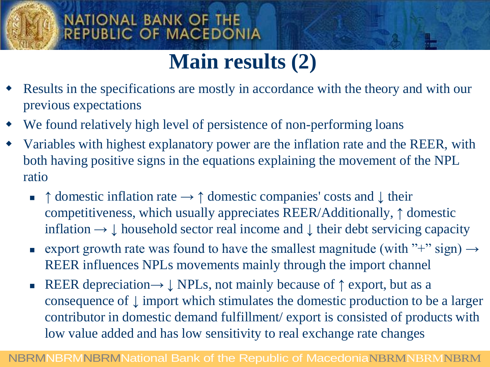### **Main results (2)**

- Results in the specifications are mostly in accordance with the theory and with our previous expectations
- We found relatively high level of persistence of non-performing loans
- Variables with highest explanatory power are the inflation rate and the REER, with both having positive signs in the equations explaining the movement of the NPL ratio
	- **↑** domestic inflation rate **→ ↑** domestic companies' costs and **↓** their competitiveness, which usually appreciates REER/Additionally, **↑** domestic inflation  $\rightarrow \downarrow$  household sector real income and  $\downarrow$  their debt servicing capacity
	- export growth rate was found to have the smallest magnitude (with "+" sign)  $\rightarrow$ REER influences NPLs movements mainly through the import channel
	- REER depreciation**→ ↓** NPLs, not mainly because of **↑** export, but as a consequence of **↓** import which stimulates the domestic production to be a larger contributor in domestic demand fulfillment/ export is consisted of products with low value added and has low sensitivity to real exchange rate changes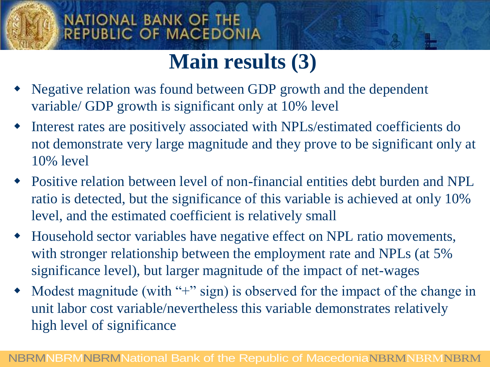### **Main results (3)**

- Negative relation was found between GDP growth and the dependent variable/ GDP growth is significant only at 10% level
- Interest rates are positively associated with NPLs/estimated coefficients do not demonstrate very large magnitude and they prove to be significant only at 10% level
- Positive relation between level of non-financial entities debt burden and NPL ratio is detected, but the significance of this variable is achieved at only 10% level, and the estimated coefficient is relatively small
- Household sector variables have negative effect on NPL ratio movements, with stronger relationship between the employment rate and NPLs (at 5%) significance level), but larger magnitude of the impact of net-wages
- Modest magnitude (with "+" sign) is observed for the impact of the change in unit labor cost variable/nevertheless this variable demonstrates relatively high level of significance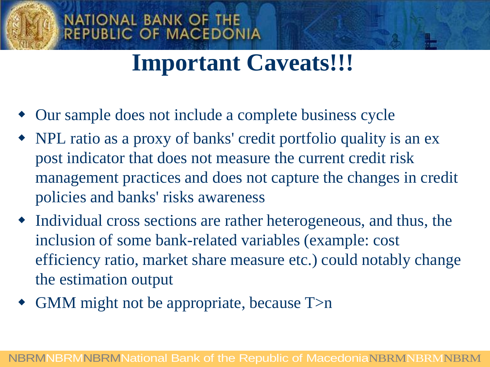### **Important Caveats!!!**

Our sample does not include a complete business cycle

**NATIONAL BANK OF THE** 

**REPUBLIC OF MACEDONIA** 

- NPL ratio as a proxy of banks' credit portfolio quality is an ex post indicator that does not measure the current credit risk management practices and does not capture the changes in credit policies and banks' risks awareness
- Individual cross sections are rather heterogeneous, and thus, the inclusion of some bank-related variables (example: cost efficiency ratio, market share measure etc.) could notably change the estimation output
- GMM might not be appropriate, because T>n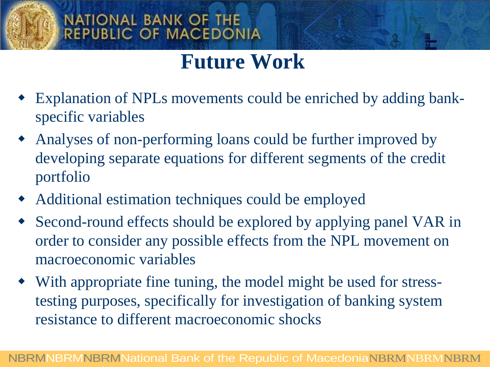### **Future Work**

- Explanation of NPLs movements could be enriched by adding bankspecific variables
- Analyses of non-performing loans could be further improved by developing separate equations for different segments of the credit portfolio
- Additional estimation techniques could be employed
- Second-round effects should be explored by applying panel VAR in order to consider any possible effects from the NPL movement on macroeconomic variables
- With appropriate fine tuning, the model might be used for stresstesting purposes, specifically for investigation of banking system resistance to different macroeconomic shocks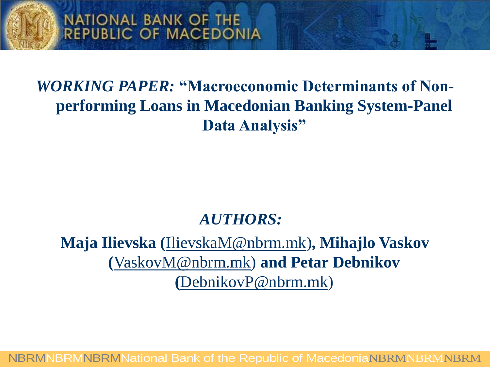

### *WORKING PAPER:* **"Macroeconomic Determinants of Nonperforming Loans in Macedonian Banking System-Panel Data Analysis"**

#### *AUTHORS:*

**Maja Ilievska (**[IlievskaM@nbrm.mk](mailto:IlievskaM@nbrm.mk))**, Mihajlo Vaskov (**[VaskovM@nbrm.mk\)](mailto:VaskovM@nbrm.mk) **and Petar Debnikov (**[DebnikovP@nbrm.mk](mailto:DebnikovP@nbrm.mk))